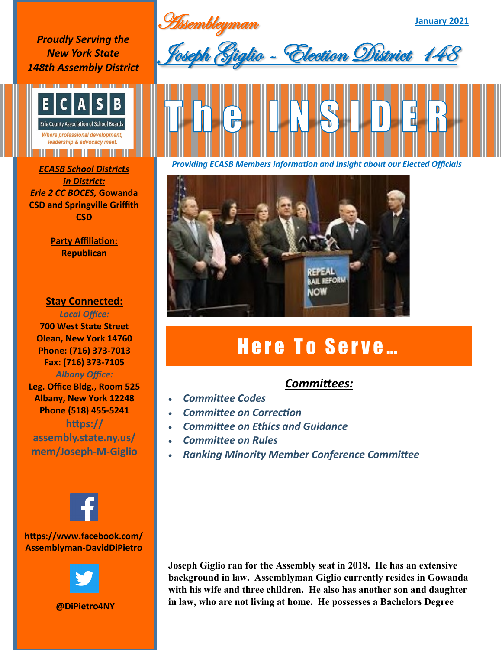**January 2021**

*Proudly Serving the New York State 148th Assembly District*



*in District: Erie 2 CC BOCES,* **Gowanda CSD and Springville Griffith CSD**

> **Party Affiliation: Republican**

## **Stay Connected:**

*Local Office:* **700 West State Street Olean, New York 14760 Phone: (716) 373-7013 Fax: (716) 373-7105** *Albany Office:*  **Leg. Office Bldg., Room 525 Albany, New York 12248 Phone (518) 455-5241 https:// assembly.state.ny.us/ mem/Joseph-M-Giglio**



## **https://www.facebook.com/ Assemblyman-DavidDiPietro**



**@DiPietro4NY**

Assembleyman<br>Consul Brak lio - Election District





## Here To Serve...

## *Committees:*

- *Committee Codes*
- *Committee on Correction*
- *Committee on Ethics and Guidance*
- *Committee on Rules*
- *Ranking Minority Member Conference Committee*

**Joseph Giglio ran for the Assembly seat in 2018. He has an extensive background in law. Assemblyman Giglio currently resides in Gowanda with his wife and three children. He also has another son and daughter in law, who are not living at home. He possesses a Bachelors Degree**